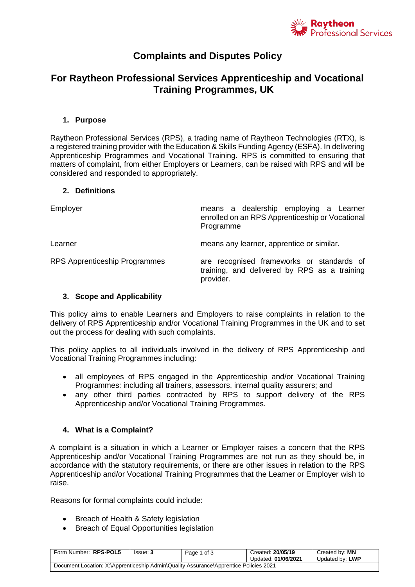

# **Complaints and Disputes Policy**

## **For Raytheon Professional Services Apprenticeship and Vocational Training Programmes, UK**

### **1. Purpose**

Raytheon Professional Services (RPS), a trading name of Raytheon Technologies (RTX), is a registered training provider with the Education & Skills Funding Agency (ESFA). In delivering Apprenticeship Programmes and Vocational Training. RPS is committed to ensuring that matters of complaint, from either Employers or Learners, can be raised with RPS and will be considered and responded to appropriately.

#### **2. Definitions**

| Employer                             | means a dealership employing a Learner<br>enrolled on an RPS Apprenticeship or Vocational<br>Programme |  |  |
|--------------------------------------|--------------------------------------------------------------------------------------------------------|--|--|
| Learner                              | means any learner, apprentice or similar.                                                              |  |  |
| <b>RPS Apprenticeship Programmes</b> | are recognised frameworks or standards of<br>training, and delivered by RPS as a training<br>provider. |  |  |

## **3. Scope and Applicability**

This policy aims to enable Learners and Employers to raise complaints in relation to the delivery of RPS Apprenticeship and/or Vocational Training Programmes in the UK and to set out the process for dealing with such complaints.

This policy applies to all individuals involved in the delivery of RPS Apprenticeship and Vocational Training Programmes including:

- all employees of RPS engaged in the Apprenticeship and/or Vocational Training Programmes: including all trainers, assessors, internal quality assurers; and
- any other third parties contracted by RPS to support delivery of the RPS Apprenticeship and/or Vocational Training Programmes.

## **4. What is a Complaint?**

A complaint is a situation in which a Learner or Employer raises a concern that the RPS Apprenticeship and/or Vocational Training Programmes are not run as they should be, in accordance with the statutory requirements, or there are other issues in relation to the RPS Apprenticeship and/or Vocational Training Programmes that the Learner or Employer wish to raise.

Reasons for formal complaints could include:

- Breach of Health & Safety legislation
- Breach of Equal Opportunities legislation

| Form Number: RPS-POL5                                                                 | Issue: 3 | Page 1 of 3 | Created: 20/05/19   | Created by: <b>MN</b> |  |
|---------------------------------------------------------------------------------------|----------|-------------|---------------------|-----------------------|--|
|                                                                                       |          |             | Updated: 01/06/2021 | Updated by: LWP       |  |
| Document Location: X:\Apprenticeship Admin\Quality Assurance\Apprentice Policies 2021 |          |             |                     |                       |  |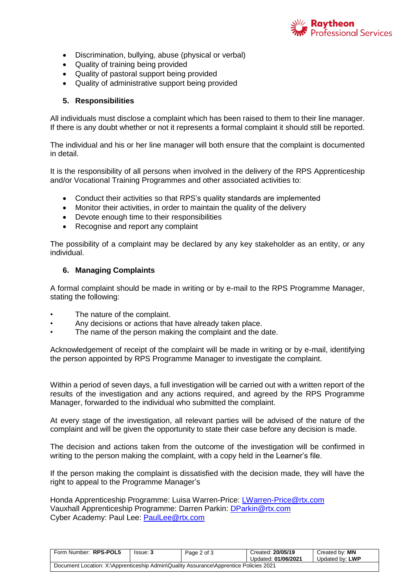

- Discrimination, bullying, abuse (physical or verbal)
- Quality of training being provided
- Quality of pastoral support being provided
- Quality of administrative support being provided

#### **5. Responsibilities**

All individuals must disclose a complaint which has been raised to them to their line manager. If there is any doubt whether or not it represents a formal complaint it should still be reported.

The individual and his or her line manager will both ensure that the complaint is documented in detail.

It is the responsibility of all persons when involved in the delivery of the RPS Apprenticeship and/or Vocational Training Programmes and other associated activities to:

- Conduct their activities so that RPS's quality standards are implemented
- Monitor their activities, in order to maintain the quality of the delivery
- Devote enough time to their responsibilities
- Recognise and report any complaint

The possibility of a complaint may be declared by any key stakeholder as an entity, or any individual.

#### **6. Managing Complaints**

A formal complaint should be made in writing or by e-mail to the RPS Programme Manager, stating the following:

- The nature of the complaint.
- Any decisions or actions that have already taken place.
- The name of the person making the complaint and the date.

Acknowledgement of receipt of the complaint will be made in writing or by e-mail, identifying the person appointed by RPS Programme Manager to investigate the complaint.

Within a period of seven days, a full investigation will be carried out with a written report of the results of the investigation and any actions required, and agreed by the RPS Programme Manager, forwarded to the individual who submitted the complaint.

At every stage of the investigation, all relevant parties will be advised of the nature of the complaint and will be given the opportunity to state their case before any decision is made.

The decision and actions taken from the outcome of the investigation will be confirmed in writing to the person making the complaint, with a copy held in the Learner's file.

If the person making the complaint is dissatisfied with the decision made, they will have the right to appeal to the Programme Manager's

Honda Apprenticeship Programme: Luisa Warren-Price: [LWarren-Price@rtx.com](mailto:LWarren-Price@rtx.com) Vauxhall Apprenticeship Programme: Darren Parkin: [DParkin@rtx.com](mailto:DParkin@rtx.com) Cyber Academy: Paul Lee: [PaulLee@rtx.com](mailto:PaulLee@rtx.com)

| Form Number: RPS-POL5                                                                 | Issue: 3 | Page 2 of 3 | Created: 20/05/19<br>Updated: 01/06/2021 | Created by: MN<br>Updated by: LWP |
|---------------------------------------------------------------------------------------|----------|-------------|------------------------------------------|-----------------------------------|
| Document Location: X:\Apprenticeship Admin\Quality Assurance\Apprentice Policies 2021 |          |             |                                          |                                   |